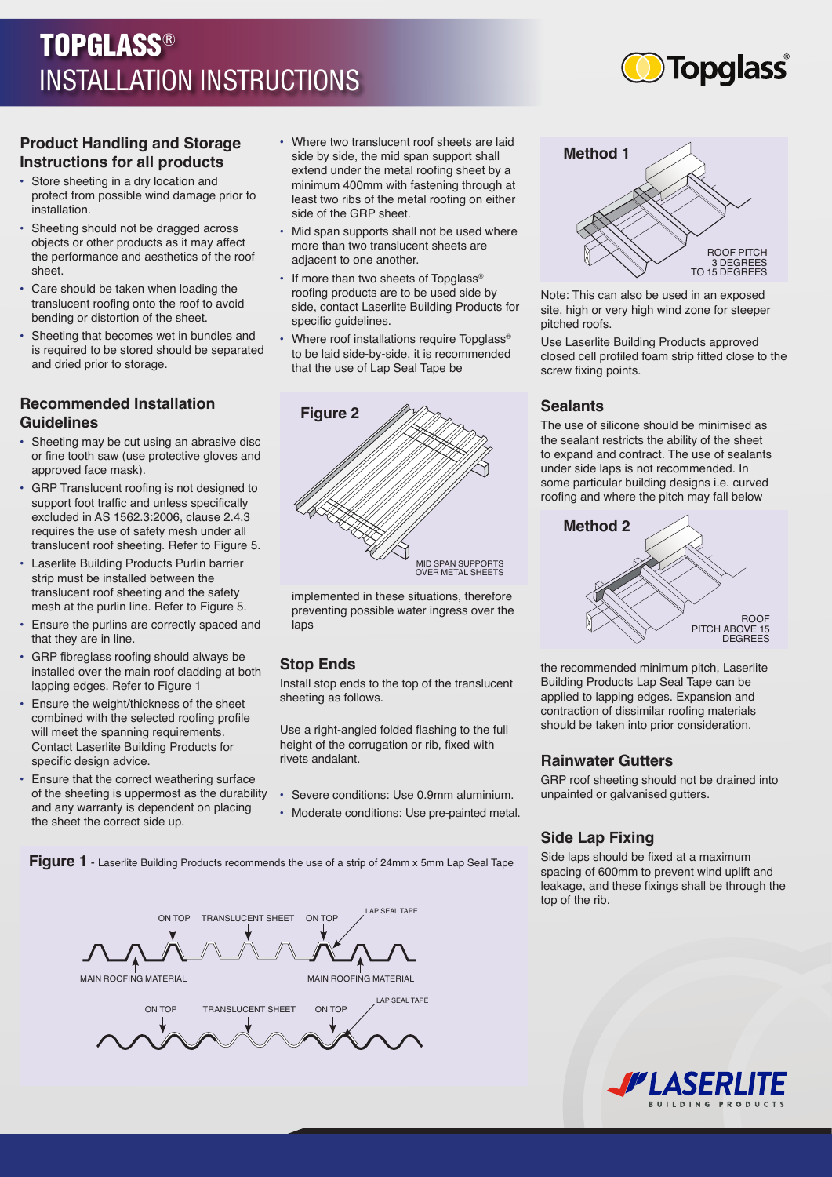# TOPGLASS® INSTALLATION INSTRUCTIONS



#### **Product Handling and Storage Instructions for all products**

- Store sheeting in a dry location and protect from possible wind damage prior to installation.
- Sheeting should not be dragged across objects or other products as it may affect the performance and aesthetics of the roof sheet.
- Care should be taken when loading the translucent roofing onto the roof to avoid bending or distortion of the sheet.
- Sheeting that becomes wet in bundles and is required to be stored should be separated and dried prior to storage.

# **Recommended Installation Guidelines**

- Sheeting may be cut using an abrasive disc or fine tooth saw (use protective gloves and approved face mask).
- GRP Translucent roofing is not designed to support foot traffic and unless specifically excluded in AS 1562.3:2006, clause 2.4.3 requires the use of safety mesh under all translucent roof sheeting. Refer to Figure 5.
- Laserlite Building Products Purlin barrier strip must be installed between the translucent roof sheeting and the safety mesh at the purlin line. Refer to Figure 5.
- Ensure the purlins are correctly spaced and that they are in line.
- GRP fibreglass roofing should always be installed over the main roof cladding at both lapping edges. Refer to Figure 1
- Ensure the weight/thickness of the sheet combined with the selected roofing profile will meet the spanning requirements. Contact Laserlite Building Products for specific design advice.
- Ensure that the correct weathering surface of the sheeting is uppermost as the durability and any warranty is dependent on placing the sheet the correct side up.
- Where two translucent roof sheets are laid side by side, the mid span support shall extend under the metal roofing sheet by a minimum 400mm with fastening through at least two ribs of the metal roofing on either side of the GRP sheet.
- Mid span supports shall not be used where more than two translucent sheets are adjacent to one another.
- If more than two sheets of Topglass<sup>®</sup> roofing products are to be used side by side, contact Laserlite Building Products for specific guidelines.
- Where roof installations require Topglass® to be laid side-by-side, it is recommended that the use of Lap Seal Tape be



implemented in these situations, therefore preventing possible water ingress over the laps

## **Stop Ends**

Install stop ends to the top of the translucent sheeting as follows.

Use a right-angled folded flashing to the full height of the corrugation or rib, fixed with rivets andalant.

- Severe conditions: Use 0.9mm aluminium.
- Moderate conditions: Use pre-painted metal.

**Figure 1** - Laserlite Building Products recommends the use of a strip of 24mm x 5mm Lap Seal Tape





Note: This can also be used in an exposed site, high or very high wind zone for steeper pitched roofs.

Use Laserlite Building Products approved closed cell profiled foam strip fitted close to the screw fixing points.

#### **Sealants**

The use of silicone should be minimised as the sealant restricts the ability of the sheet to expand and contract. The use of sealants under side laps is not recommended. In some particular building designs i.e. curved roofing and where the pitch may fall below



the recommended minimum pitch, Laserlite Building Products Lap Seal Tape can be applied to lapping edges. Expansion and contraction of dissimilar roofing materials should be taken into prior consideration.

## **Rainwater Gutters**

GRP roof sheeting should not be drained into unpainted or galvanised gutters.

## **Side Lap Fixing**

Side laps should be fixed at a maximum spacing of 600mm to prevent wind uplift and leakage, and these fixings shall be through the top of the rib.